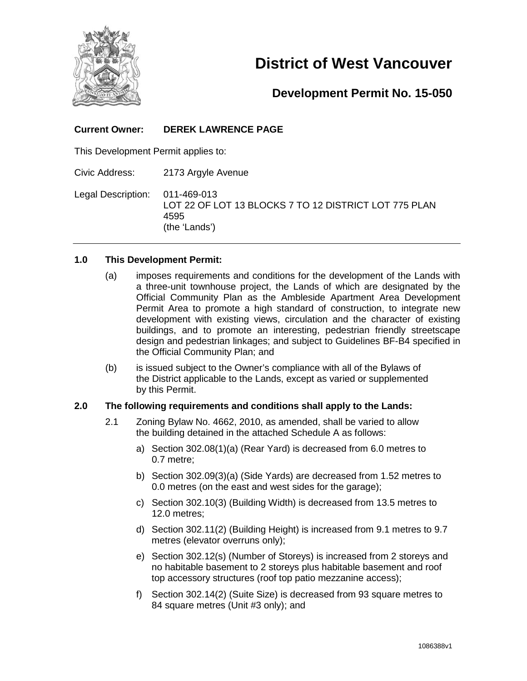

# **District of West Vancouver**

# **Development Permit No. 15-050**

## **Current Owner: DEREK LAWRENCE PAGE**

This Development Permit applies to:

Civic Address: 2173 Argyle Avenue

Legal Description: 011-469-013 LOT 22 OF LOT 13 BLOCKS 7 TO 12 DISTRICT LOT 775 PLAN 4595 (the 'Lands')

#### **1.0 This Development Permit:**

- (a) imposes requirements and conditions for the development of the Lands with a three-unit townhouse project, the Lands of which are designated by the Official Community Plan as the Ambleside Apartment Area Development Permit Area to promote a high standard of construction, to integrate new development with existing views, circulation and the character of existing buildings, and to promote an interesting, pedestrian friendly streetscape design and pedestrian linkages; and subject to Guidelines BF-B4 specified in the Official Community Plan; and
- (b) is issued subject to the Owner's compliance with all of the Bylaws of the District applicable to the Lands, except as varied or supplemented by this Permit.

#### **2.0 The following requirements and conditions shall apply to the Lands:**

- 2.1 Zoning Bylaw No. 4662, 2010, as amended, shall be varied to allow the building detained in the attached Schedule A as follows:
	- a) Section 302.08(1)(a) (Rear Yard) is decreased from 6.0 metres to 0.7 metre;
	- b) Section 302.09(3)(a) (Side Yards) are decreased from 1.52 metres to 0.0 metres (on the east and west sides for the garage);
	- c) Section 302.10(3) (Building Width) is decreased from 13.5 metres to 12.0 metres;
	- d) Section 302.11(2) (Building Height) is increased from 9.1 metres to 9.7 metres (elevator overruns only);
	- e) Section 302.12(s) (Number of Storeys) is increased from 2 storeys and no habitable basement to 2 storeys plus habitable basement and roof top accessory structures (roof top patio mezzanine access);
	- f) Section 302.14(2) (Suite Size) is decreased from 93 square metres to 84 square metres (Unit #3 only); and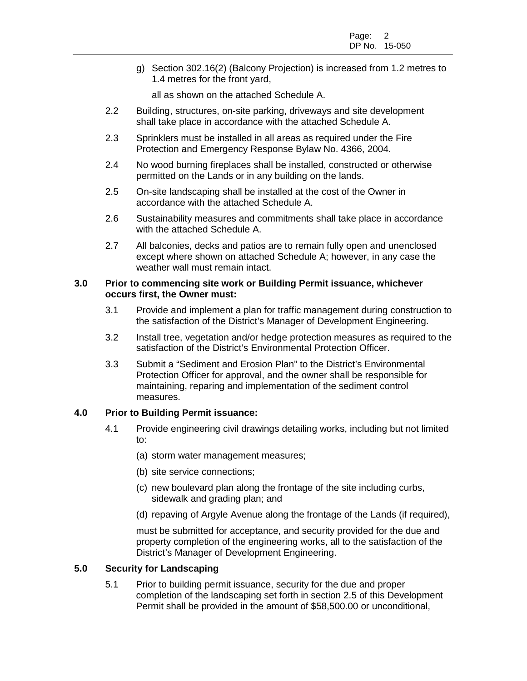g) Section 302.16(2) (Balcony Projection) is increased from 1.2 metres to 1.4 metres for the front yard,

all as shown on the attached Schedule A.

- 2.2 Building, structures, on-site parking, driveways and site development shall take place in accordance with the attached Schedule A.
- 2.3 Sprinklers must be installed in all areas as required under the Fire Protection and Emergency Response Bylaw No. 4366, 2004.
- 2.4 No wood burning fireplaces shall be installed, constructed or otherwise permitted on the Lands or in any building on the lands.
- 2.5 On-site landscaping shall be installed at the cost of the Owner in accordance with the attached Schedule A.
- 2.6 Sustainability measures and commitments shall take place in accordance with the attached Schedule A.
- 2.7 All balconies, decks and patios are to remain fully open and unenclosed except where shown on attached Schedule A; however, in any case the weather wall must remain intact.

#### **3.0 Prior to commencing site work or Building Permit issuance, whichever occurs first, the Owner must:**

- 3.1 Provide and implement a plan for traffic management during construction to the satisfaction of the District's Manager of Development Engineering.
- 3.2 Install tree, vegetation and/or hedge protection measures as required to the satisfaction of the District's Environmental Protection Officer.
- 3.3 Submit a "Sediment and Erosion Plan" to the District's Environmental Protection Officer for approval, and the owner shall be responsible for maintaining, reparing and implementation of the sediment control measures.

#### **4.0 Prior to Building Permit issuance:**

- 4.1 Provide engineering civil drawings detailing works, including but not limited to:
	- (a) storm water management measures;
	- (b) site service connections;
	- (c) new boulevard plan along the frontage of the site including curbs, sidewalk and grading plan; and
	- (d) repaving of Argyle Avenue along the frontage of the Lands (if required),

must be submitted for acceptance, and security provided for the due and property completion of the engineering works, all to the satisfaction of the District's Manager of Development Engineering.

#### **5.0 Security for Landscaping**

5.1 Prior to building permit issuance, security for the due and proper completion of the landscaping set forth in section 2.5 of this Development Permit shall be provided in the amount of \$58,500.00 or unconditional,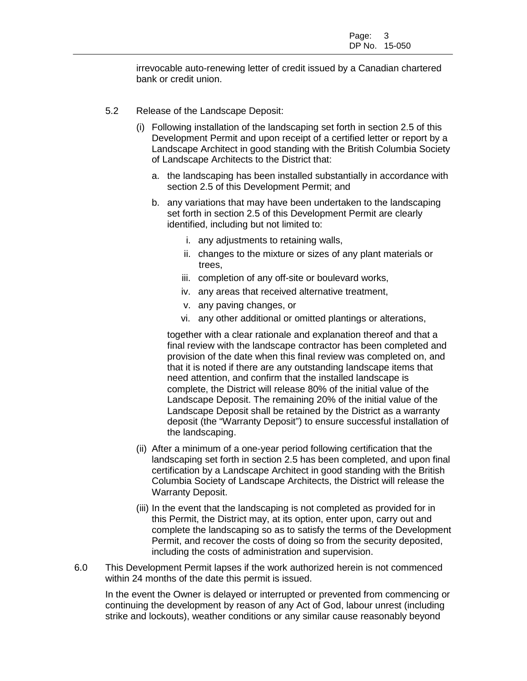irrevocable auto-renewing letter of credit issued by a Canadian chartered bank or credit union.

- 5.2 Release of the Landscape Deposit:
	- (i) Following installation of the landscaping set forth in section 2.5 of this Development Permit and upon receipt of a certified letter or report by a Landscape Architect in good standing with the British Columbia Society of Landscape Architects to the District that:
		- a. the landscaping has been installed substantially in accordance with section 2.5 of this Development Permit; and
		- b. any variations that may have been undertaken to the landscaping set forth in section 2.5 of this Development Permit are clearly identified, including but not limited to:
			- i. any adjustments to retaining walls,
			- ii. changes to the mixture or sizes of any plant materials or trees,
			- iii. completion of any off-site or boulevard works,
			- iv. any areas that received alternative treatment,
			- v. any paving changes, or
			- vi. any other additional or omitted plantings or alterations,

together with a clear rationale and explanation thereof and that a final review with the landscape contractor has been completed and provision of the date when this final review was completed on, and that it is noted if there are any outstanding landscape items that need attention, and confirm that the installed landscape is complete, the District will release 80% of the initial value of the Landscape Deposit. The remaining 20% of the initial value of the Landscape Deposit shall be retained by the District as a warranty deposit (the "Warranty Deposit") to ensure successful installation of the landscaping.

- (ii) After a minimum of a one-year period following certification that the landscaping set forth in section 2.5 has been completed, and upon final certification by a Landscape Architect in good standing with the British Columbia Society of Landscape Architects, the District will release the Warranty Deposit.
- (iii) In the event that the landscaping is not completed as provided for in this Permit, the District may, at its option, enter upon, carry out and complete the landscaping so as to satisfy the terms of the Development Permit, and recover the costs of doing so from the security deposited, including the costs of administration and supervision.
- 6.0 This Development Permit lapses if the work authorized herein is not commenced within 24 months of the date this permit is issued.

In the event the Owner is delayed or interrupted or prevented from commencing or continuing the development by reason of any Act of God, labour unrest (including strike and lockouts), weather conditions or any similar cause reasonably beyond